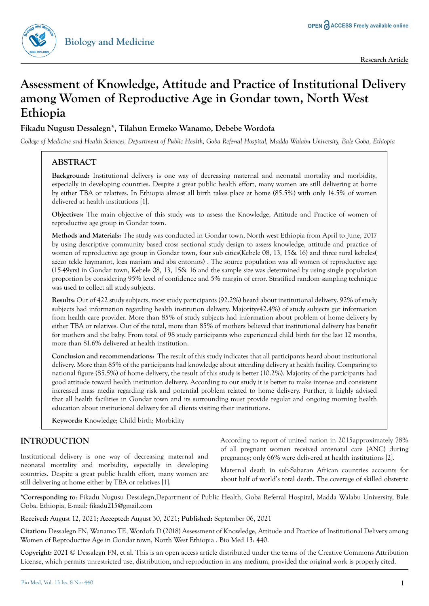

# **Assessment of Knowledge, Attitude and Practice of Institutional Delivery among Women of Reproductive Age in Gondar town, North West Ethiopia**

# **Fikadu Nugusu Dessalegn\*, Tilahun Ermeko Wanamo, Debebe Wordofa**

*College of Medicine and Health Sciences, Department of Public Health, Goba Referral Hospital, Madda Walabu University, Bale Goba, Ethiopia*

# **ABSTRACT**

**<sup>B</sup><sup>i</sup>olog<sup>y</sup> <sup>a</sup>n<sup>d</sup> <sup>M</sup>ed<sup>i</sup>cin<sup>e</sup>**

**ISSN: 0974-8369**

**Background:** Institutional delivery is one way of decreasing maternal and neonatal mortality and morbidity, especially in developing countries. Despite a great public health effort, many women are still delivering at home by either TBA or relatives. In Ethiopia almost all birth takes place at home (85.5%) with only 14.5% of women delivered at health institutions [1].

**Objectives:** The main objective of this study was to assess the Knowledge, Attitude and Practice of women of reproductive age group in Gondar town.

**Methods and Materials:** The study was conducted in Gondar town, North west Ethiopia from April to June, 2017 by using descriptive community based cross sectional study design to assess knowledge, attitude and practice of women of reproductive age group in Gondar town, four sub cities(Kebele 08, 13, 15& 16) and three rural kebeles( azezo tekle haymanot, loza mariam and aba entonios) . The source population was all women of reproductive age (15-49yrs) in Gondar town, Kebele 08, 13, 15& 16 and the sample size was determined by using single population proportion by considering 95% level of confidence and 5% margin of error. Stratified random sampling technique was used to collect all study subjects.

**Results:** Out of 422 study subjects, most study participants (92.2%) heard about institutional delivery. 92% of study subjects had information regarding health institution delivery. Majorityv42.4%) of study subjects got information from health care provider. More than 85% of study subjects had information about problem of home delivery by either TBA or relatives. Out of the total, more than 85% of mothers believed that institutional delivery has benefit for mothers and the baby. From total of 98 study participants who experienced child birth for the last 12 months, more than 81.6% delivered at health institution.

**Conclusion and recommendations:** The result of this study indicates that all participants heard about institutional delivery. More than 85% of the participants had knowledge about attending delivery at health facility. Comparing to national figure (85.5%) of home delivery, the result of this study is better (10.2%). Majority of the participants had good attitude toward health institution delivery. According to our study it is better to make intense and consistent increased mass media regarding risk and potential problem related to home delivery. Further, it highly advised that all health facilities in Gondar town and its surrounding must provide regular and ongoing morning health education about institutional delivery for all clients visiting their institutions.

**Keywords:** Knowledge; Child birth; Morbidity

# **INTRODUCTION**

Institutional delivery is one way of decreasing maternal and neonatal mortality and morbidity, especially in developing countries. Despite a great public health effort, many women are still delivering at home either by TBA or relatives [1].

According to report of united nation in 2015approximately 78% of all pregnant women received antenatal care (ANC) during pregnancy; only 66% were delivered at health institutions [2].

Maternal death in sub-Saharan African countries accounts for about half of world's total death. The coverage of skilled obstetric

**\*Corresponding to**: Fikadu Nugusu Dessalegn,Department of Public Health, Goba Referral Hospital, Madda Walabu University, Bale Goba, Ethiopia, E-mail: fikadu215@gmail.com

**Received:** August 12, 2021; **Accepted:** August 30, 2021; **Published:** September 06, 2021

**Citation:** Dessalegn FN, Wanamo TE, Wordofa D (2018) Assessment of Knowledge, Attitude and Practice of Institutional Delivery among Women of Reproductive Age in Gondar town, North West Ethiopia . Bio Med 13: 440.

**Copyright:** 2021 © Dessalegn FN, et al. This is an open access article distributed under the terms of the Creative Commons Attribution License, which permits unrestricted use, distribution, and reproduction in any medium, provided the original work is properly cited.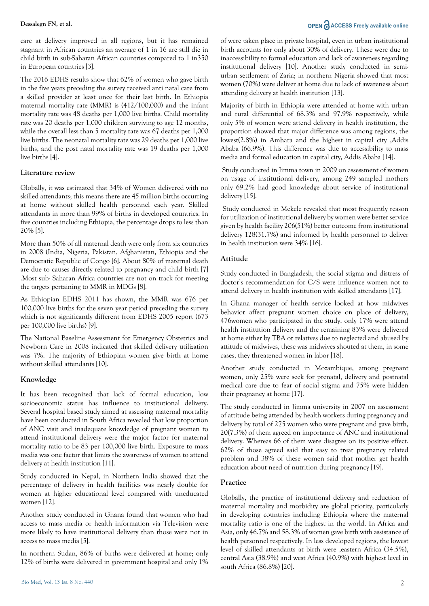care at delivery improved in all regions, but it has remained stagnant in African countries an average of 1 in 16 are still die in child birth in sub-Saharan African countries compared to 1 in350 in European countries [3].

The 2016 EDHS results show that 62% of women who gave birth in the five years preceding the survey received anti natal care from a skilled provider at least once for their last birth. In Ethiopia maternal mortality rate (MMR) is (412/100,000) and the infant mortality rate was 48 deaths per 1,000 live births. Child mortality rate was 20 deaths per 1,000 children surviving to age 12 months, while the overall less than 5 mortality rate was 67 deaths per 1,000 live births. The neonatal mortality rate was 29 deaths per 1,000 live births, and the post natal mortality rate was 19 deaths per 1,000 live births [4].

#### **Literature review**

Globally, it was estimated that 34% of Women delivered with no skilled attendants; this means there are 45 million births occurring at home without skilled health personnel each year. Skilled attendants in more than 99% of births in developed countries. In five countries including Ethiopia, the percentage drops to less than 20% [5].

More than 50% of all maternal death were only from six countries in 2008 (India, Nigeria, Pakistan, Afghanistan, Ethiopia and the Democratic Republic of Congo [6]. About 80% of maternal death are due to causes directly related to pregnancy and child birth [7] .Most sub- Saharan Africa countries are not on track for meeting the targets pertaining to MMR in MDGs [8].

As Ethiopian EDHS 2011 has shown, the MMR was 676 per 100,000 live births for the seven year period preceding the survey which is not significantly different from EDHS 2005 report (673 per 100,000 live births) [9].

The National Baseline Assessment for Emergency Obstetrics and Newborn Care in 2008 indicated that skilled delivery utilization was 7%. The majority of Ethiopian women give birth at home without skilled attendants [10].

#### **Knowledge**

It has been recognized that lack of formal education, low socioeconomic status has influence to institutional delivery. Several hospital based study aimed at assessing maternal mortality have been conducted in South Africa revealed that low proportion of ANC visit and inadequate knowledge of pregnant women to attend institutional delivery were the major factor for maternal mortality ratio to be 83 per 100,000 live birth. Exposure to mass media was one factor that limits the awareness of women to attend delivery at health institution [11].

Study conducted in Nepal, in Northern India showed that the percentage of delivery in health facilities was nearly double for women at higher educational level compared with uneducated women [12].

Another study conducted in Ghana found that women who had access to mass media or health information via Television were more likely to have institutional delivery than those were not in access to mass media [5].

In northern Sudan, 86% of births were delivered at home; only 12% of births were delivered in government hospital and only 1%

# **Dessalegn FN, et al. OPEN**  $\partial$  **ACCESS** Freely available online

of were taken place in private hospital, even in urban institutional birth accounts for only about 30% of delivery. These were due to inaccessibility to formal education and lack of awareness regarding institutional delivery [10]. Another study conducted in semiurban settlement of Zaria; in northern Nigeria showed that most women (70%) were deliver at home due to lack of awareness about attending delivery at health institution [13].

Majority of birth in Ethiopia were attended at home with urban and rural differential of 68.3% and 97.9% respectively, while only 5% of women were attend delivery in health institution, the proportion showed that major difference was among regions, the lowest(2.8%) in Amhara and the highest in capital city ,Addis Ababa (66.9%). This difference was due to accessibility to mass media and formal education in capital city, Addis Ababa [14].

 Study conducted in Jimma town in 2009 on assessment of women on usage of institutional delivery, among 249 sampled mothers only 69.2% had good knowledge about service of institutional delivery [15].

 Study conducted in Mekele revealed that most frequently reason for utilization of institutional delivery by women were better service given by health facility 206(51%) better outcome from institutional delivery 128(31.7%) and informed by health personnel to deliver in health institution were 34% [16].

#### **Attitude**

Study conducted in Bangladesh, the social stigma and distress of doctor's recommendation for C/S were influence women not to attend delivery in health institution with skilled attendants [17].

In Ghana manager of health service looked at how midwives behavior affect pregnant women choice on place of delivery, 476women who participated in the study, only 17% were attend health institution delivery and the remaining 83% were delivered at home either by TBA or relatives due to neglected and abused by attitude of midwives, these was midwives shouted at them, in some cases, they threatened women in labor [18].

Another study conducted in Mozambique, among pregnant women, only 25% were seek for prenatal, delivery and postnatal medical care due to fear of social stigma and 75% were hidden their pregnancy at home [17].

The study conducted in Jimma university in 2007 on assessment of attitude being attended by health workers during pregnancy and delivery by total of 275 women who were pregnant and gave birth, 20(7.3%) of them agreed on importance of ANC and institutional delivery. Whereas 66 of them were disagree on its positive effect. 62% of those agreed said that easy to treat pregnancy related problem and 38% of these women said that mother get health education about need of nutrition during pregnancy [19].

#### **Practice**

Globally, the practice of institutional delivery and reduction of maternal mortality and morbidity are global priority, particularly in developing countries including Ethiopia where the maternal mortality ratio is one of the highest in the world. In Africa and Asia, only 46.7% and 58.3% of women gave birth with assistance of health personnel respectively. In less developed regions, the lowest level of skilled attendants at birth were ,eastern Africa (34.5%), central Asia (38.9%) and west Africa (40.9%) with highest level in south Africa (86.8%) [20].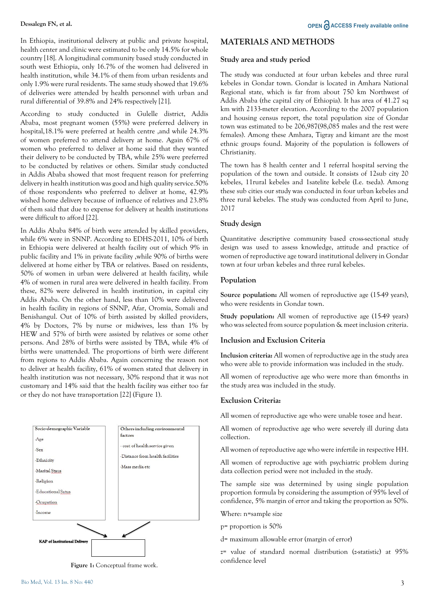In Ethiopia, institutional delivery at public and private hospital, health center and clinic were estimated to be only 14.5% for whole country [18]. A longitudinal community based study conducted in south west Ethiopia, only 16.7% of the women had delivered in health institution, while 34.1% of them from urban residents and only 1.9% were rural residents. The same study showed that 19.6% of deliveries were attended by health personnel with urban and rural differential of 39.8% and 24% respectively [21].

According to study conducted in Gulelle district, Addis Ababa, most pregnant women (55%) were preferred delivery in hospital,18.1% were preferred at health centre ,and while 24.3% of women preferred to attend delivery at home. Again 67% of women who preferred to deliver at home said that they wanted their delivery to be conducted by TBA, while 25% were preferred to be conducted by relatives or others. Similar study conducted in Addis Ababa showed that most frequent reason for preferring delivery in health institution was good and high quality service.50% of those respondents who preferred to deliver at home, 42.9% wished home delivery because of influence of relatives and 23.8% of them said that due to expense for delivery at health institutions were difficult to afford [22].

In Addis Ababa 84% of birth were attended by skilled providers, while 6% were in SNNP. According to EDHS-2011, 10% of birth in Ethiopia were delivered at health facility out of which 9% in public facility and 1% in private facility ,while 90% of births were delivered at home either by TBA or relatives. Based on residents, 50% of women in urban were delivered at health facility, while 4% of women in rural area were delivered in health facility. From these, 82% were delivered in health institution, in capital city Addis Ababa. On the other hand, less than 10% were delivered in health facility in regions of SNNP, Afar, Oromia, Somali and Benishangul. Out of 10% of birth assisted by skilled providers, 4% by Doctors, 7% by nurse or midwives, less than 1% by HEW and 57% of birth were assisted by relatives or some other persons. And 28% of births were assisted by TBA, while 4% of births were unattended. The proportions of birth were different from regions to Addis Ababa. Again concerning the reason not to deliver at health facility, 61% of women stated that delivery in health institution was not necessary, 30% respond that it was not customary and 14% said that the health facility was either too far or they do not have transportation [22] (Figure 1).



**Figure 1:** Conceptual frame work.

# **MATERIALS AND METHODS**

#### **Study area and study period**

The study was conducted at four urban kebeles and three rural kebeles in Gondar town. Gondar is located in Amhara National Regional state, which is far from about 750 km Northwest of Addis Ababa (the capital city of Ethiopia). It has area of 41.27 sq km with 2133-meter elevation. According to the 2007 population and housing census report, the total population size of Gondar town was estimated to be 206,987(98,085 males and the rest were females). Among these Amhara, Tigray and kimant are the most ethnic groups found. Majority of the population is followers of Christianity.

The town has 8 health center and 1 referral hospital serving the population of the town and outside. It consists of 12sub city 20 kebeles, 11rural kebeles and 1satelite kebele (I.e. tseda). Among these sub cities our study was conducted in four urban kebeles and three rural kebeles. The study was conducted from April to June, 2017

#### **Study design**

Quantitative descriptive community based cross-sectional study design was used to assess knowledge, attitude and practice of women of reproductive age toward institutional delivery in Gondar town at four urban kebeles and three rural kebeles.

#### **Population**

**Source population:** All women of reproductive age (15-49 years), who were residents in Gondar town.

**Study population:** All women of reproductive age (15-49 years) who was selected from source population & meet inclusion criteria.

#### **Inclusion and Exclusion Criteria**

**Inclusion criteria:** All women of reproductive age in the study area who were able to provide information was included in the study.

All women of reproductive age who were more than 6months in the study area was included in the study.

#### **Exclusion Criteria:**

All women of reproductive age who were unable tosee and hear.

All women of reproductive age who were severely ill during data collection.

All women of reproductive age who were infertile in respective HH.

All women of reproductive age with psychiatric problem during data collection period were not included in the study.

The sample size was determined by using single population proportion formula by considering the assumption of 95% level of confidence, 5% margin of error and taking the proportion as 50%.

Where: n=sample size

p= proportion is 50%

d= maximum allowable error (margin of error)

z= value of standard normal distribution (z-statistic) at 95% confidence level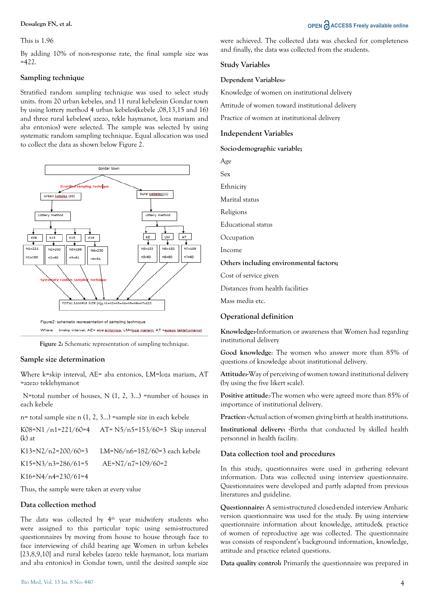#### This is 1.96

By adding 10% of non-response rate, the final sample size was  $=422$ .

### **Sampling technique**

Stratified random sampling technique was used to select study units. from 20 urban kebeles, and 11 rural kebelesin Gondar town by using lottery method 4 urban kebeles(kebele ,08,13,15 and 16) and three rural kebelew( azezo, tekle haymanot, loza mariam and aba entonios) were selected. The sample was selected by using systematic random sampling technique. Equal allocation was used to collect the data as shown below Figure 2.



Figure 2: Schematic representation of sampling technique.

### **Sample size determination**

Where k=skip interval, AE= aba entonios, LM=loza mariam, AT =azezo teklehymanot

 N=total number of houses, N (1, 2, 3…) =number of houses in each kebele

n= total sample size n (1, 2, 3…) =sample size in each kebele

| K08=N1/n1=221/60=4<br>$(k)$ at | AT= $N5/n5=153/60=3$ Skip interval |
|--------------------------------|------------------------------------|
| K13=N2/n2=200/60=3             | LM=N6/n6=182/60=3 each kebele      |
| K15=N3/n3=286/61=5             | $AE=N7/n7=109/60=2$                |
| K16=N4/n4=230/61=4             |                                    |

Thus, the sample were taken at every value

#### **Data collection method**

The data was collected by 4<sup>th</sup> year midwifery students who were assigned to this particular topic using semi-structured questionnaires by moving from house to house through face to face interviewing of child bearing age Women in urban kebeles [23,8,9,10] and rural kebeles (azezo tekle haymanot, loza mariam and aba entonios) in Gondar town, until the desired sample size

# **Dessalegn FN, et al. OPEN ACCESS Freely available online**

were achieved. The collected data was checked for completeness and finally, the data was collected from the students.

### **Study Variables**

#### **Dependent Variables:-**

Knowledge of women on institutional delivery

Attitude of women toward institutional delivery

Practice of women at institutional delivery

#### **Independent Variables**

**Socio-demographic variable;**

Age Sex Ethnicity Marital status Religions Educational status Occupation Income **Others including environmental factors;**  Cost of service given Distances from health facilities

Mass media etc.

# **Operational definition**

**Knowledge:-**Information or awareness that Women had regarding institutional delivery

**Good knowledge**: The women who answer more than 85% of questions of knowledge about institutional delivery.

**Attitude:-**Way of perceiving of women toward institutional delivery (by using the five likert scale).

Positive attitude:-The women who were agreed more than 85% of importance of institutional delivery.

**Practice: -**Actual action of women giving birth at health institutions.

**Institutional delivery: -**Births that conducted by skilled health personnel in health facility.

#### **Data collection tool and procedures**

In this study, questionnaires were used in gathering relevant information. Data was collected using interview questionnaire. Questionnaires were developed and partly adapted from previous literatures and guideline.

**Questionnaire:** A semi-structured closed-ended interview Amharic version questionnaire was used for the study. By using interview questionnaire information about knowledge, attitude& practice of women of reproductive age was collected. The questionnaire was consists of respondent's background information, knowledge, attitude and practice related questions.

**Data quality control:** Primarily the questionnaire was prepared in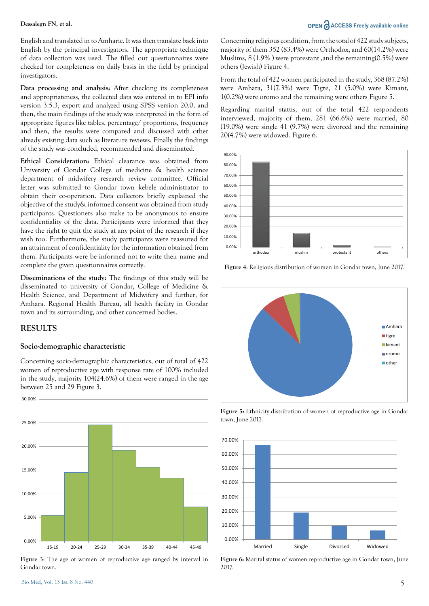English and translated in to Amharic. It was then translate back into English by the principal investigators. The appropriate technique of data collection was used. The filled out questionnaires were checked for completeness on daily basis in the field by principal investigators.

**Data processing and analysis:** After checking its completeness and appropriateness, the collected data was entered in to EPI info version 3.5.3, export and analyzed using SPSS version 20.0, and then, the main findings of the study was interpreted in the form of appropriate figures like tables, percentage/ proportions, frequency and then, the results were compared and discussed with other already existing data such as literature reviews. Finally the findings of the study was concluded, recommended and disseminated.

**Ethical Consideration:** Ethical clearance was obtained from University of Gondar College of medicine & health science department of midwifery research review committee. Official letter was submitted to Gondar town kebele administrator to obtain their co-operation. Data collectors briefly explained the objective of the study& informed consent was obtained from study participants. Questioners also make to be anonymous to ensure confidentiality of the data. Participants were informed that they have the right to quit the study at any point of the research if they wish too. Furthermore, the study participants were reassured for an attainment of confidentiality for the information obtained from them. Participants were be informed not to write their name and complete the given questionnaires correctly.

**Disseminations of the study:** The findings of this study will be disseminated to university of Gondar, College of Medicine & Health Science, and Department of Midwifery and further, for Amhara. Regional Health Bureau, all health facility in Gondar town and its surrounding, and other concerned bodies.

# **RESULTS**

#### **Socio-demographic characteristic**

Concerning socio-demographic characteristics, out of total of 422 women of reproductive age with response rate of 100% included in the study, majority 104(24.6%) of them were ranged in the age between 25 and 29 Figure 3.



**Figure 3**: The age of women of reproductive age ranged by interval in Gondar town.

# **Dessalegn FN, et al. OPEN ACCESS Freely available online**

Concerning religious condition, from the total of 422 study subjects, majority of them 352 (83.4%) were Orthodox, and 60(14.2%) were Muslims, 8 (1.9% ) were protestant ,and the remaining(0.5%) were others (Jewish) Figure 4.

From the total of 422 women participated in the study, 368 (87.2%) were Amhara, 31(7.3%) were Tigre, 21 (5.0%) were Kimant, 1(0.2%) were oromo and the remaining were others Figure 5.

Regarding marital status, out of the total 422 respondents interviewed, majority of them, 281 (66.6%) were married, 80 (19.0%) were single 41 (9.7%) were divorced and the remaining 20(4.7%) were widowed. Figure 6.



**Figure 4**: Religious distribution of women in Gondar town, June 2017.



**Figure 5:** Ethnicity distribution of women of reproductive age in Gondar town, June 2017.



**Figure 6:** Marital status of women reproductive age in Gondar town, June 2017.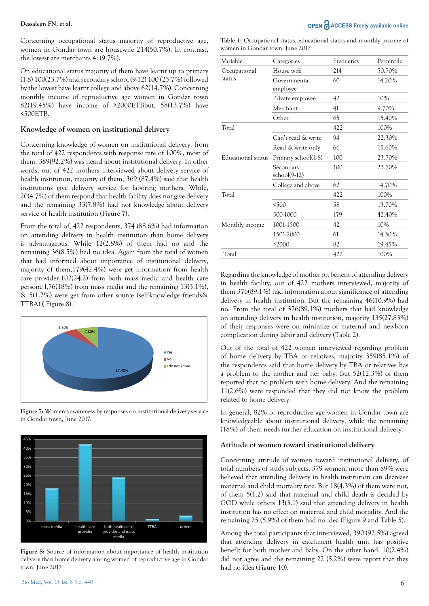Concerning occupational status majority of reproductive age, women in Gondar town are housewife 214(50.7%). In contrast, the lowest are merchants 41(9.7%).

On educational status majority of them have learnt up to primary (1-8) 100(23.7%) and secondary school (9-12) 100 (23.7%) followed by the lowest have learnt college and above 62(14.7%). Concerning monthly income of reproductive age women in Gondar town 82(19.45%) have income of >2000ETBbut, 58(13.7%) have <500ETB.

#### **Knowledge of women on institutional delivery**

Concerning knowledge of women on institutional delivery, from the total of 422 respondents with response rate of 100%, most of them, 389(92.2%) was heard about institutional delivery. In other words, out of 422 mothers interviewed about delivery service of health institution, majority of them, 369 (87.4%) said that health institutions give delivery service for laboring mothers. While, 20(4.7%) of them respond that health facility does not give delivery and the remaining 33(7.8%) had not knowledge about delivery service of health institution (Figure 7).

From the total of, 422 respondents, 374 (88.6%) had information on attending delivery in health institution than home delivery is advantageous. While 12(2.8%) of them had no and the remaining 36(8.5%) had no idea. Again from the total of women that had informed about importance of institutional delivery, majority of them,179(42.4%) were get information from health care provider,102(24.2) from both mass media and health care persone l,76(18%) from mass media and the remaining 13(3.1%), & 5(1.2%) were get from other source (self-knowledge friends& TTBA) ( Figure 8).



**Figure 7:** Women's awareness by responses on institutional delivery service in Gondar town, June 2017.



Figure 8: Source of information about importance of health institution delivery than home delivery among women of reproductive age in Gondar town, June 2017.

**Table 1**: Occupational status, educational status and monthly income of women in Gondar town, June 2017

| Variable           | Categories                  | Frequency | Percentile |
|--------------------|-----------------------------|-----------|------------|
| Occupational       | House wife                  | 214       | 50.70%     |
| status             | Governmental<br>employee    | 60        | 14.20%     |
|                    | Private employee            | 42        | 10%        |
|                    | Merchant                    | 41        | 9.70%      |
|                    | Other                       | 65        | 15.40%     |
| Total              |                             | 422       | 100%       |
|                    | Can't read & write          | 94        | 22.30%     |
|                    | Read & write only           | 66        | 15.60%     |
| Educational status | Primary school(1-8)         | 100       | 23.70%     |
|                    | Secondary<br>$school(9-12)$ | 100       | 23.70%     |
|                    | College and above           | 62        | 14.70%     |
| Total              |                             | 422       | 100%       |
|                    | < 500                       | 58        | 13.70%     |
|                    | 500-1000                    | 179       | 42.40%     |
| Monthly income     | 1001-1500                   | 42        | 10%        |
|                    | 1501-2000                   | 61        | 14.50%     |
|                    | >2000                       | 82        | 19.45%     |
| Total              |                             | 422       | 100%       |

Regarding the knowledge of mother on benefit of attending delivery in health facility, out of 422 mothers interviewed, majority of them 376(89.1%) had information about significance of attending delivery in health institution. But the remaining 46(10.9%) had no. From the total of 376(89.1%) mothers that had knowledge on attending delivery in health institution, majority 135(27.83%) of their responses were on minimize of maternal and newborn complication during labor and delivery (Table 2).

Out of the total of 422 women interviewed regarding problem of home delivery by TBA or relatives, majority 359(85.1%) of the respondents said that home delivery by TBA or relatives has a problem to the mother and her baby. But 52(12.3%) of them reported that no problem with home delivery. And the remaining 11(2.6%) were responded that they did not know the problem related to home delivery.

In general, 82% of reproductive age women in Gondar town are knowledgeable about institutional delivery, while the remaining (18%) of them needs further education on institutional delivery.

#### **Attitude of women toward institutional delivery**

Concerning attitude of women toward institutional delivery, of total numbers of study subjects, 379 women, more than 89% were believed that attending delivery in health institution can decrease maternal and child mortality rate. But 18(4.3%) of them were not, of them 5(1.2) said that maternal and child death is decided by GOD while others 13(3.1) said that attending delivery in health institution has no effect on maternal and child mortality. And the remaining 25 (5.9%) of them had no idea (Figure 9 and Table 5).

Among the total participants that interviewed, 390 (92.5%) agreed that attending delivery in catchment health unit has positive benefit for both mother and baby. On the other hand, 10(2.4%) did not agree and the remaining 22 (5.2%) were report that they had no idea (Figure 10).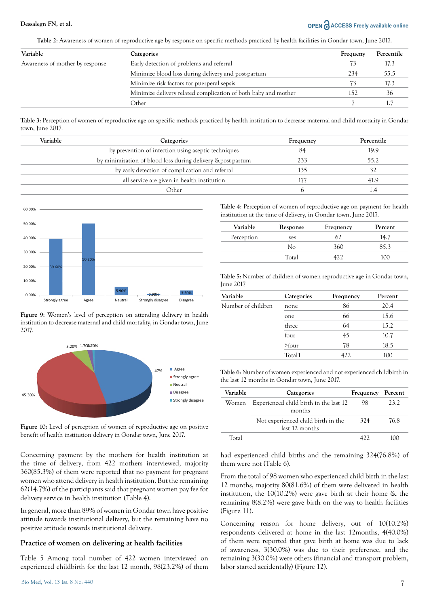# **Dessalegn FN, et al. OPEN**  $\partial$  **ACCESS Freely available online**

**Table 2**: Awareness of women of reproductive age by response on specific methods practiced by health facilities in Gondar town, June 2017.

| Variable                        | Categories                                                     | Frequeny | Percentile |
|---------------------------------|----------------------------------------------------------------|----------|------------|
| Awareness of mother by response | Early detection of problems and referral                       | 73       | 17.3       |
|                                 | Minimize blood loss during delivery and post-partum            | 234      | 55.5       |
|                                 | Minimize risk factors for puerperal sepsis                     | 73       | 17.3       |
|                                 | Minimize delivery related complication of both baby and mother | 152      | 36         |
|                                 | Other                                                          |          |            |

**Table 3**: Perception of women of reproductive age on specific methods practiced by health institution to decrease maternal and child mortality in Gondar town, June 2017.

| Variable | Categories                                                  | Frequency | Percentile |
|----------|-------------------------------------------------------------|-----------|------------|
|          | by prevention of infection using aseptic techniques         | 84        | 19.9       |
|          | by minimization of blood loss during delivery & post-partum | 233       | 55.2       |
|          | by early detection of complication and referral             | 135       | 32         |
|          | all service are given in health institution                 | 177       | 41.9       |
|          | Other                                                       |           | 1.4        |
|          |                                                             |           |            |



**Figure 9:** Women's level of perception on attending delivery in health institution to decrease maternal and child mortality, in Gondar town, June 2017.



**Figure 10:** Level of perception of women of reproductive age on positive benefit of health institution delivery in Gondar town, June 2017.

Concerning payment by the mothers for health institution at the time of delivery, from 422 mothers interviewed, majority 360(85.3%) of them were reported that no payment for pregnant women who attend delivery in health institution. But the remaining 62(14.7%) of the participants said that pregnant women pay fee for delivery service in health institution (Table 4).

In general, more than 89% of women in Gondar town have positive attitude towards institutional delivery, but the remaining have no positive attitude towards institutional delivery.

#### **Practice of women on delivering at health facilities**

Table 5 Among total number of 422 women interviewed on experienced childbirth for the last 12 month, 98(23.2%) of them

Bio Med, Vol. 13 Iss. 8 No: 440

**Table 4**: Perception of women of reproductive age on payment for health institution at the time of delivery, in Gondar town, June 2017.

| Variable   | Response | Frequency | Percent  |
|------------|----------|-----------|----------|
| Perception | ves      | 67        | 14.7     |
|            | Nο       | 360       | 35 3     |
|            | Total    |           | $\alpha$ |

**Table 5**: Number of children of women reproductive age in Gondar town, June 2017

| Variable           | Categories | Frequency | Percent |
|--------------------|------------|-----------|---------|
| Number of children | none       | 86        | 20.4    |
|                    | one        | 66        | 15.6    |
|                    | three      | 64        | 15.2    |
|                    | four       | 45        | 10.7    |
|                    | $>$ four   | 78        | 18.5    |
|                    | Total1     | 422       | 100     |

**Table 6**: Number of women experienced and not experienced childbirth in the last 12 months in Gondar town, June 2017.

| Variable | Categories                                           | Frequency | Percent |
|----------|------------------------------------------------------|-----------|---------|
| Women    | Experienced child birth in the last 12<br>months     | 98        | 23.2    |
|          | Not experienced child birth in the<br>last 12 months | 324       | 76.8    |
| Total    |                                                      | 422       | 100     |

had experienced child births and the remaining 324(76.8%) of them were not (Table 6).

From the total of 98 women who experienced child birth in the last 12 months, majority 80(81.6%) of them were delivered in health institution, the 10(10.2%) were gave birth at their home & the remaining 8(8.2%) were gave birth on the way to health facilities (Figure 11).

Concerning reason for home delivery, out of 10(10.2%) respondents delivered at home in the last 12months, 4(40.0%) of them were reported that gave birth at home was due to lack of awareness, 3(30.0%) was due to their preference, and the remaining 3(30.0%) were others (financial and transport problem, labor started accidentally) (Figure 12).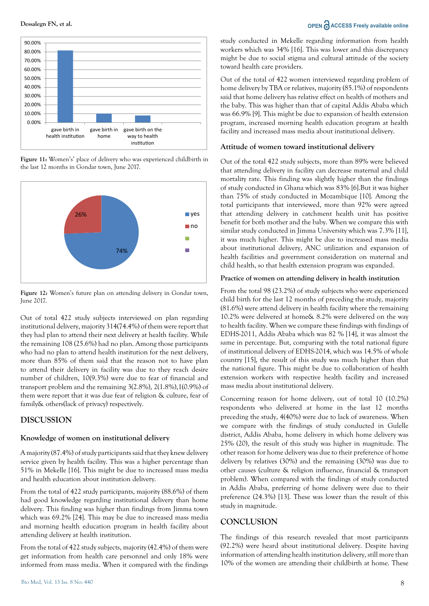



**Figure 11:** Women's' place of delivery who was experienced childbirth in the last 12 months in Gondar town, June 2017.



**Figure 12:** Women's future plan on attending delivery in Gondar town, June 2017.

Out of total 422 study subjects interviewed on plan regarding institutional delivery, majority 314(74.4%) of them were report that they had plan to attend their next delivery at health facility. While the remaining 108 (25.6%) had no plan. Among those participants who had no plan to attend health institution for the next delivery, more than 85% of them said that the reason not to have plan to attend their delivery in facility was due to they reach desire number of children, 10(9.3%) were due to fear of financial and transport problem and the remaining 3(2.8%), 2(1.8%),1(0.9%) of them were report that it was due fear of religion & culture, fear of family& others(lack of privacy) respectively.

# **DISCUSSION**

#### **Knowledge of women on institutional delivery**

A majority (87.4%) of study participants said that they knew delivery service given by health facility. This was a higher percentage than 51% in Mekelle [16]. This might be due to increased mass media and health education about institution delivery.

From the total of 422 study participants, majority (88.6%) of them had good knowledge regarding institutional delivery than home delivery. This finding was higher than findings from Jimma town which was 69.2% [24]. This may be due to increased mass media and morning health education program in health facility about attending delivery at health institution.

From the total of 422 study subjects, majority (42.4%) of them were get information from health care personnel and only 18% were informed from mass media. When it compared with the findings

study conducted in Mekelle regarding information from health workers which was 34% [16]. This was lower and this discrepancy might be due to social stigma and cultural attitude of the society toward health care providers.

Out of the total of 422 women interviewed regarding problem of home delivery by TBA or relatives, majority (85.1%) of respondents said that home delivery has relative effect on health of mothers and the baby. This was higher than that of capital Addis Ababa which was 66.9% [9]. This might be due to expansion of health extension program, increased morning health education program at health facility and increased mass media about institutional delivery.

#### **Attitude of women toward institutional delivery**

Out of the total 422 study subjects, more than 89% were believed that attending delivery in facility can decrease maternal and child mortality rate. This finding was slightly higher than the findings of study conducted in Ghana which was 83% [6].But it was higher than 75% of study conducted in Mozambique [10]. Among the total participants that interviewed, more than 92% were agreed that attending delivery in catchment health unit has positive benefit for both mother and the baby. When we compare this with similar study conducted in Jimma University which was 7.3% [11], it was much higher. This might be due to increased mass media about institutional delivery, ANC utilization and expansion of health facilities and government consideration on maternal and child health, so that health extension program was expanded.

#### **Practice of women on attending delivery in health institution**

From the total 98 (23.2%) of study subjects who were experienced child birth for the last 12 months of preceding the study, majority (81.6%) were attend delivery in health facility where the remaining 10.2% were delivered at home& 8.2% were delivered on the way to health facility. When we compare these findings with findings of EDHS-2011, Addis Ababa which was 82 % [14], it was almost the same in percentage. But, comparing with the total national figure of institutional delivery of EDHS-2014, which was 14.5% of whole country [15], the result of this study was much higher than that the national figure. This might be due to collaboration of health extension workers with respective health facility and increased mass media about institutional delivery.

Concerning reason for home delivery, out of total 10 (10.2%) respondents who delivered at home in the last 12 months preceding the study, 4(40%) were due to lack of awareness. When we compare with the findings of study conducted in Gulelle district, Addis Ababa, home delivery in which home delivery was 25% (20), the result of this study was higher in magnitude. The other reason for home delivery was due to their preference of home delivery by relatives (30%) and the remaining (30%) was due to other causes (culture & religion influence, financial & transport problem). When compared with the findings of study conducted in Addis Ababa, preferring of home delivery were due to their preference (24.3%) [13]. These was lower than the result of this study in magnitude.

#### **CONCLUSION**

The findings of this research revealed that most participants (92.2%) were heard about institutional delivery. Despite having information of attending health institution delivery, still more than 10% of the women are attending their childbirth at home. These